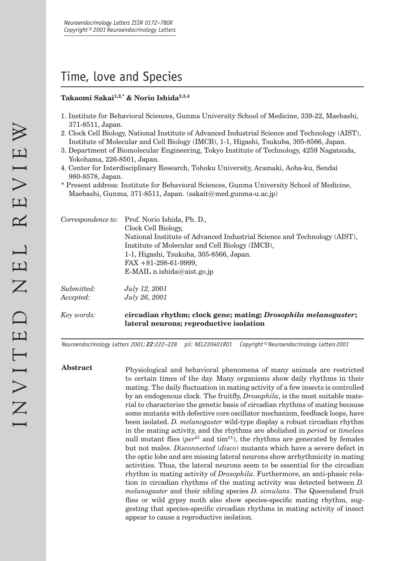# Time, love and Species

## **Takaomi Sakai1,2,\* & Norio Ishida2,3,4**

- 1. Institute for Behavioral Sciences, Gunma University School of Medicine, 339-22, Maebashi, 371-8511, Japan.
- 2. Clock Cell Biology, National Institute of Advanced Industrial Science and Technology (AIST), Institute of Molecular and Cell Biology (IMCB), 1-1, Higashi, Tsukuba, 305-8566, Japan.
- 3. Department of Biomolecular Engineering, Tokyo Institute of Technology, 4259 Nagatsuda, Yokohama, 226-8501, Japan.
- 4. Center for Interdisciplinary Research, Tohoku University, Aramaki, Aoba-ku, Sendai 980-8578, Japan.
- \* Present address: Institute for Behavioral Sciences, Gunma University School of Medicine, Maebashi, Gunma, 371-8511, Japan. (sakait@med.gunma-u.ac.jp)

|                         | Correspondence to: Prof. Norio Ishida, Ph. D.,<br>Clock Cell Biology,<br>National Institute of Advanced Industrial Science and Technology (AIST),<br>Institute of Molecular and Cell Biology (IMCB),<br>1-1, Higashi, Tsukuba, 305-8566, Japan.<br>$FAX + 81-298-61-9999,$<br>E-MAIL n.ishida@aist.go.jp |
|-------------------------|----------------------------------------------------------------------------------------------------------------------------------------------------------------------------------------------------------------------------------------------------------------------------------------------------------|
| Submitted:<br>Accepted: | <i>July 12, 2001</i><br>July 26, 2001                                                                                                                                                                                                                                                                    |
| Key words:              | circadian rhythm; clock gene; mating; <i>Drosophila melanogaster</i> ;<br>lateral neurons; reproductive isolation                                                                                                                                                                                        |

*Neuroendocrinology Letters 2001; 22:222–228 pii: NEL220401R01 Copyright © Neuroendocrinology Letters 2001*

Abstract **Physiological and behavioral phenomena of many animals are restricted** to certain times of the day. Many organisms show daily rhythms in their mating. The daily fluctuation in mating activity of a few insects is controlled by an endogenous clock. The fruitfly, *Drosophila*, is the most suitable material to characterize the genetic basis of circadian rhythms of mating because some mutants with defective core oscillator mechanism, feedback loops, have been isolated. *D. melanogaster* wild-type display a robust circadian rhythm in the mating activity, and the rhythms are abolished in *period* or *timeless*  null mutant flies ( $per^{01}$  and tim<sup>01</sup>), the rhythms are generated by females but not males. *Disconnected* (*disco*) mutants which have a severe defect in the optic lobe and are missing lateral neurons show arrhythmicity in mating activities. Thus, the lateral neurons seem to be essential for the circadian rhythm in mating activity of *Drosophila*. Furthermore, an anti-phasic relation in circadian rhythms of the mating activity was detected between *D. melanogaster* and their sibling species *D. simulans*. The Queensland fruit flies or wild gypsy moth also show species-specific mating rhythm, suggesting that species-specifi c circadian rhythms in mating activity of insect appear to cause a reproductive isolation.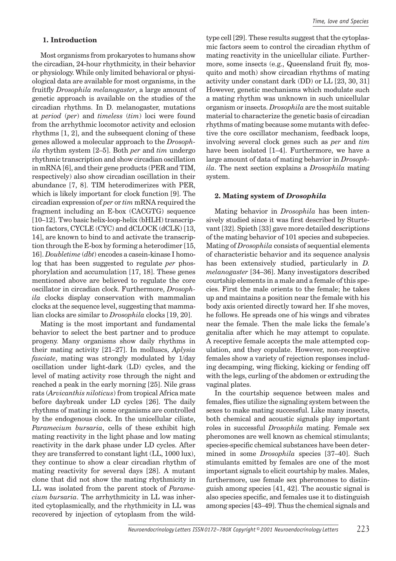#### **1. Introduction**

Most organisms from prokaryotes to humans show the circadian, 24-hour rhythmicity, in their behavior or physiology. While only limited behavioral or physiological data are available for most organisms, in the fruitfly *Drosophila melanogaster*, a large amount of genetic approach is available on the studies of the circadian rhythms. In D. melanogaster, mutations at *period* (*per*) and *timeless* (*tim*) loci were found from the arrhythmic locomotor activity and eclosion rhythms [1, 2], and the subsequent cloning of these genes allowed a molecular approach to the *Drosophila* rhythm system [2–5]. Both *per* and *tim* undergo rhythmic transcription and show circadian oscillation in mRNA [6], and their gene products (PER and TIM, respectively) also show circadian oscillation in their abundance [7, 8]. TIM heterodimerizes with PER, which is likely important for clock function [9]. The circadian expression of *per* or *tim* mRNA required the fragment including an E-box (CACGTG) sequence [10–12]. Two basic helix-loop-helix (bHLH) transcription factors, CYCLE (CYC) and dCLOCK (dCLK) [13, 14], are known to bind to and activate the transcription through the E-box by forming a heterodimer [15, 16]. *Doubletime* (*dbt*) encodes a casein-kinase I homolog that has been suggested to regulate *per* phosphorylation and accumulation [17, 18]. These genes mentioned above are believed to regulate the core oscillator in circadian clock. Furthermore, *Drosophila* clocks display conservation with mammalian clocks at the sequence level, suggesting that mammalian clocks are similar to *Drosophila* clocks [19, 20].

Mating is the most important and fundamental behavior to select the best partner and to produce progeny. Many organisms show daily rhythms in their mating activity [21–27]. In molluscs, *Aplysia fasciate*, mating was strongly modulated by 1/day oscillation under light-dark (LD) cycles, and the level of mating activity rose through the night and reached a peak in the early morning [25]. Nile grass rats (*Arvicanthis niloticus*) from tropical Africa mate before daybreak under LD cycles [26]. The daily rhythms of mating in some organisms are controlled by the endogenous clock. In the unicellular ciliate, *Paramecium bursaria*, cells of these exhibit high mating reactivity in the light phase and low mating reactivity in the dark phase under LD cycles. After they are transferred to constant light (LL, 1000 lux), they continue to show a clear circadian rhythm of mating reactivity for several days [28]. A mutant clone that did not show the mating rhythmicity in LL was isolated from the parent stock of *Paramecium bursaria*. The arrhythmicity in LL was inherited cytoplasmically, and the rhythmicity in LL was recovered by injection of cytoplasm from the wildtype cell [29]. These results suggest that the cytoplasmic factors seem to control the circadian rhythm of mating reactivity in the unicellular ciliate. Furthermore, some insects (e.g., Queensland fruit fly, mosquito and moth) show circadian rhythms of mating activity under constant dark (DD) or LL [23, 30, 31] However, genetic mechanisms which modulate such a mating rhythm was unknown in such unicellular organism or insects. *Drosophila* are the most suitable material to characterize the genetic basis of circadian rhythms of mating because some mutants with defective the core oscillator mechanism, feedback loops, involving several clock genes such as *per* and *tim*  have been isolated [1–4]. Furthermore, we have a large amount of data of mating behavior in *Drosophila*. The next section explains a *Drosophila* mating system.

#### **2. Mating system of** *Drosophila*

Mating behavior in *Drosophila* has been intensively studied since it was first described by Sturtevant [32]. Spieth [33] gave more detailed descriptions of the mating behavior of 101 species and subspecies. Mating of *Drosophila* consists of sequential elements of characteristic behavior and its sequence analysis has been extensively studied, particularly in *D. melanogaster* [34–36]. Many investigators described courtship elements in a male and a female of this species. First the male orients to the female; he takes up and maintains a position near the female with his body axis oriented directly toward her. If she moves, he follows. He spreads one of his wings and vibrates near the female. Then the male licks the female's genitalia after which he may attempt to copulate. A receptive female accepts the male attempted copulation, and they copulate. However, non-receptive females show a variety of rejection responses including decamping, wing flicking, kicking or fending off with the legs, curling of the abdomen or extruding the vaginal plates.

In the courtship sequence between males and females, flies utilize the signaling system between the sexes to make mating successful. Like many insects, both chemical and acoustic signals play important roles in successful *Drosophila* mating. Female sex pheromones are well known as chemical stimulants; species-specific chemical substances have been determined in some *Drosophila* species [37–40]. Such stimulants emitted by females are one of the most important signals to elicit courtship by males. Males, furthermore, use female sex pheromones to distinguish among species [41, 42]. The acoustic signal is also species specific, and females use it to distinguish among species [43–49]. Thus the chemical signals and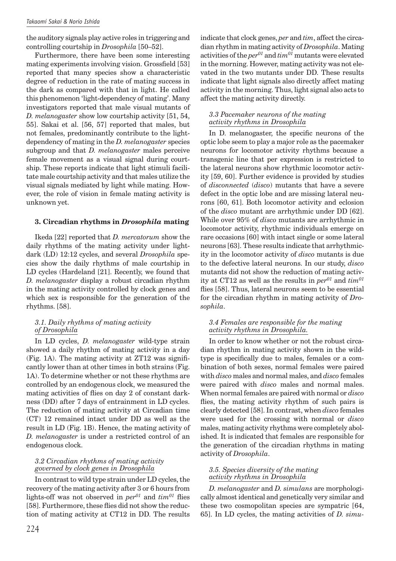the auditory signals play active roles in triggering and controlling courtship in *Drosophila* [50–52].

Furthermore, there have been some interesting mating experiments involving vision. Grossfield [53] reported that many species show a characteristic degree of reduction in the rate of mating success in the dark as compared with that in light. He called this phenomenon 'light-dependency of mating'. Many investigators reported that male visual mutants of *D. melanogaster* show low courtship activity [51, 54, 55]. Sakai et al. [56, 57] reported that males, but not females, predominantly contribute to the lightdependency of mating in the *D. melanogaster* species subgroup and that *D. melanogaster* males perceive female movement as a visual signal during courtship. These reports indicate that light stimuli facilitate male courtship activity and that males utilize the visual signals mediated by light while mating. However, the role of vision in female mating activity is unknown yet.

## **3. Circadian rhythms in** *Drosophila* **mating**

Ikeda [22] reported that *D. mercatorum* show the daily rhythms of the mating activity under lightdark (LD) 12:12 cycles, and several *Drosophila* species show the daily rhythms of male courtship in LD cycles (Hardeland [21]. Recently, we found that *D. melanogaster* display a robust circadian rhythm in the mating activity controlled by clock genes and which sex is responsible for the generation of the rhythms. [58].

## *3.1. Daily rhythms of mating activity of Drosophila*

In LD cycles, *D. melanogaster* wild-type strain showed a daily rhythm of mating activity in a day  $(Fig. 1A)$ . The mating activity at  $ZT12$  was significantly lower than at other times in both strains (Fig. 1A). To determine whether or not these rhythms are controlled by an endogenous clock, we measured the mating activities of flies on day 2 of constant darkness (DD) after 7 days of entrainment in LD cycles. The reduction of mating activity at Circadian time (CT) 12 remained intact under DD as well as the result in LD (Fig. 1B). Hence, the mating activity of *D. melanogaster* is under a restricted control of an endogenous clock.

## *3.2 Circadian rhythms of mating activity governed by clock genes in Drosophila*

In contrast to wild type strain under LD cycles, the recovery of the mating activity after 3 or 6 hours from lights-off was not observed in  $per^{01}$  and  $tim^{01}$  flies [58]. Furthermore, these flies did not show the reduction of mating activity at CT12 in DD. The results indicate that clock genes, *per* and *tim*, affect the circadian rhythm in mating activity of *Drosophila*. Mating activities of the  $per^{01}$  and  $tim^{01}$  mutants were elevated in the morning. However, mating activity was not elevated in the two mutants under DD. These results indicate that light signals also directly affect mating activity in the morning. Thus, light signal also acts to affect the mating activity directly.

## *3.3 Pacemaker neurons of the mating activity rhythms in Drosophila*

In D. melanogaster, the specific neurons of the optic lobe seem to play a major role as the pacemaker neurons for locomotor activity rhythms because a transgenic line that per expression is restricted to the lateral neurons show rhythmic locomotor activity [59, 60]. Further evidence is provided by studies of *disconnected* (*disco*) mutants that have a severe defect in the optic lobe and are missing lateral neurons [60, 61]. Both locomotor activity and eclosion of the *disco* mutant are arrhythmic under DD [62]. While over 95% of *disco* mutants are arrhythmic in locomotor activity, rhythmic individuals emerge on rare occasions [60] with intact single or some lateral neurons [63]. These results indicate that arrhythmicity in the locomotor activity of *disco* mutants is due to the defective lateral neurons. In our study, *disco* mutants did not show the reduction of mating activity at CT12 as well as the results in  $per^{01}$  and  $tim^{01}$ flies [58]. Thus, lateral neurons seem to be essential for the circadian rhythm in mating activity of *Drosophila*.

## *3.4 Females are responsible for the mating activity rhythms in Drosophila.*

In order to know whether or not the robust circadian rhythm in mating activity shown in the wildtype is specifically due to males, females or a combination of both sexes, normal females were paired with *disco* males and normal males, and *disco* females were paired with *disco* males and normal males. When normal females are paired with normal or *disco* flies, the mating activity rhythm of such pairs is clearly detected [58]. In contrast, when *disco* females were used for the crossing with normal or *disco* males, mating activity rhythms were completely abolished. It is indicated that females are responsible for the generation of the circadian rhythms in mating activity of *Drosophila*.

## *3.5. Species diversity of the mating activity rhythms in Drosophila*

*D. melanogaster* and *D. simulans* are morphologically almost identical and genetically very similar and these two cosmopolitan species are sympatric [64, 65]. In LD cycles, the mating activities of *D. simu-*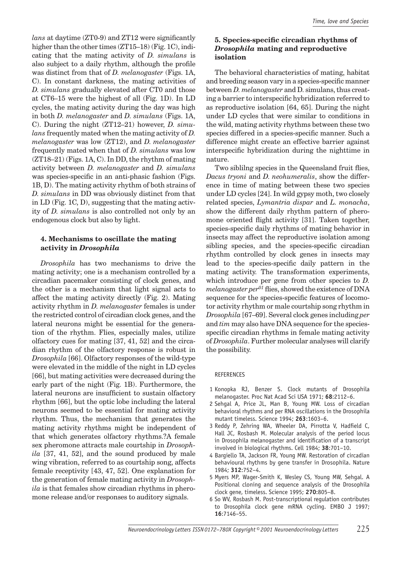*lans* at daytime (ZT0-9) and ZT12 were significantly higher than the other times (ZT15–18) (Fig. 1C), indicating that the mating activity of *D. simulans* is also subject to a daily rhythm, although the profile was distinct from that of *D. melanogaster* (Figs. 1A, C). In constant darkness, the mating activities of *D. simulans* gradually elevated after CT0 and those at CT6–15 were the highest of all (Fig. 1D). In LD cycles, the mating activity during the day was high in both *D. melanogaster* and *D. simulans* (Figs. 1A, C). During the night (ZT12–21) however, *D. simulans* frequently mated when the mating activity of *D. melanogaster* was low (ZT12), and *D. melanogaster*  frequently mated when that of *D. simulans* was low (ZT18–21) (Figs. 1A, C). In DD, the rhythm of mating activity between *D. melanogaster* and *D. simulans*  was species-specific in an anti-phasic fashion (Figs. 1B, D). The mating activity rhythm of both strains of *D. simulans* in DD was obviously distinct from that in LD (Fig. 1C, D), suggesting that the mating activity of *D. simulans* is also controlled not only by an endogenous clock but also by light.

## **4. Mechanisms to oscillate the mating activity in** *Drosophila*

*Drosophila* has two mechanisms to drive the mating activity; one is a mechanism controlled by a circadian pacemaker consisting of clock genes, and the other is a mechanism that light signal acts to affect the mating activity directly (Fig. 2). Mating activity rhythm in *D. melanogaster* females is under the restricted control of circadian clock genes, and the lateral neurons might be essential for the generation of the rhythm. Flies, especially males, utilize olfactory cues for mating [37, 41, 52] and the circadian rhythm of the olfactory response is robust in *Drosophila* [66]. Olfactory responses of the wild-type were elevated in the middle of the night in LD cycles [66], but mating activities were decreased during the early part of the night (Fig. 1B). Furthermore, the lateral neurons are insufficient to sustain olfactory rhythm [66], but the optic lobe including the lateral neurons seemed to be essential for mating activity rhythm. Thus, the mechanism that generates the mating activity rhythms might be independent of that which generates olfactory rhythms.?A female sex pheromone attracts male courtship in *Drosophila* [37, 41, 52], and the sound produced by male wing vibration, referred to as courtship song, affects female receptivity [43, 47, 52]. One explanation for the generation of female mating activity in *Drosophila* is that females show circadian rhythms in pheromone release and/or responses to auditory signals.

# **5. Species-specific circadian rhythms of** *Drosophila* **mating and reproductive isolation**

The behavioral characteristics of mating, habitat and breeding season vary in a species-specific manner between *D. melanogaster* and D. simulans, thus creating a barrier to interspecific hybridization referred to as reproductive isolation [64, 65]. During the night under LD cycles that were similar to conditions in the wild, mating activity rhythms between these two species differed in a species-specific manner. Such a difference might create an effective barrier against interspecific hybridization during the nighttime in nature.

Two siblilng species in the Queensland fruit flies, *Dacus tryoni* and *D. neohumeralis*, show the difference in time of mating between these two species under LD cycles [24]. In wild gypsy moth, two closely related species, *Lymantria dispar* and *L. monacha*, show the different daily rhythm pattern of pheromone oriented flight activity [31]. Taken together, species-specific daily rhythms of mating behavior in insects may affect the reproductive isolation among sibling species, and the species-specific circadian rhythm controlled by clock genes in insects may lead to the species-specific daily pattern in the mating activity. The transformation experiments, which introduce per gene from other species to *D.*   $melanogaster per<sup>01</sup>$  flies, showed the existence of DNA sequence for the species-specific features of locomotor activity rhythm or male courtship song rhythm in *Drosophila* [67–69]. Several clock genes including *per*  and *tim* may also have DNA sequence for the speciesspecific circadian rhythms in female mating activity of *Drosophila*. Further molecular analyses will clarify the possibility.

## **REFERENCES**

- 1 Konopka RJ, Benzer S. Clock mutants of Drosophila melanogaster. Proc Nat Acad Sci USA 1971; **68**:2112–6.
- 2 Sehgal A, Price JL, Man B, Young MW. Loss of circadian behavioral rhythms and per RNA oscillations in the Drosophila mutant timeless. Science 1994; **263**:1603–6.
- 3 Reddy P, Zehring WA, Wheeler DA, Pirrotta V, Hadfield C, Hall JC, Rosbash M. Molecular analysis of the period locus in Drosophila melanogaster and identification of a transcript involved in biological rhythms. Cell 1984; **38**:701–10.
- 4 Bargiello TA, Jackson FR, Young MW. Restoration of circadian behavioural rhythms by gene transfer in Drosophila. Nature 1984; **312**:752–4.
- 5 Myers MP, Wager-Smith K, Wesley CS, Young MW, Sehgal. A Positional cloning and sequence analysis of the Drosophila clock gene, timeless. Science 1995; **270**:805–8.
- 6 So WV, Rosbash M. Post-transcriptional regulation contributes to Drosophila clock gene mRNA cycling. EMBO J 1997; **16**:7146–55.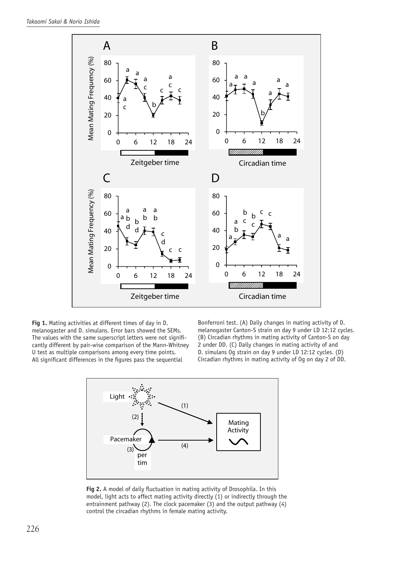

**Fig 1.** Mating activities at different times of day in D. melanogaster and D. simulans. Error bars showed the SEMs. The values with the same superscript letters were not significantly different by pair-wise comparison of the Mann-Whitney U test as multiple comparisons among every time points. All significant differences in the figures pass the sequential

Bonferroni test. (A) Daily changes in mating activity of D. melanogaster Canton-S strain on day 9 under LD 12:12 cycles. (B) Circadian rhythms in mating activity of Canton-S on day 2 under DD. (C) Daily changes in mating activity of and D. simulans Og strain on day 9 under LD 12:12 cycles. (D) Circadian rhythms in mating activity of Og on day 2 of DD.



Fig 2. A model of daily fluctuation in mating activity of Drosophila. In this model, light acts to affect mating activity directly (1) or indirectly through the entrainment pathway (2). The clock pacemaker (3) and the output pathway (4) control the circadian rhythms in female mating activity.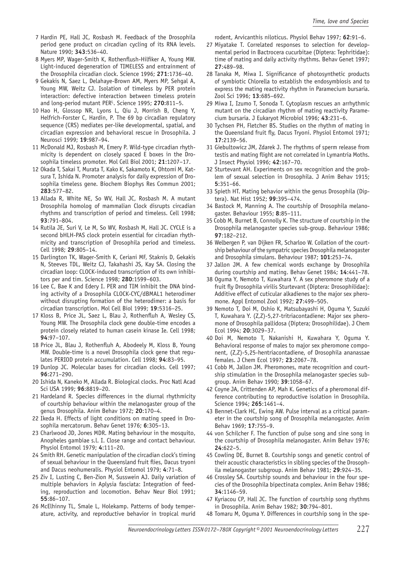- 7 Hardin PE, Hall JC, Rosbash M. Feedback of the Drosophila period gene product on circadian cycling of its RNA levels. Nature 1990; **343**:536–40.
- 8 Myers MP, Wager-Smith K, Rothenflush-Hilfiker A, Young MW. Light-induced degeneration of TIMELESS and entrainment of the Drosophila circadian clock. Science 1996; **271**:1736–40.
- 9 Gekakis N, Saez L, Delahaye-Brown AM, Myers MP, Sehgal A, Young MW, Weitz CJ. Isolation of timeless by PER protein interaction: defective interaction between timeless protein and long-period mutant PER<sup>L</sup>. Science 1995; 270:811-5.
- 10 Hao H, Glossop NR, Lyons L, Qiu J, Morrish B, Cheng Y, Helfrich-Forster C, Hardin, P. The 69 bp circadian regulatory sequence (CRS) mediates per-like developmental, spatial, and circadian expression and behavioral rescue in Drosophila. J Neurosci 1999; **19**:987–94.
- 11 McDonald MJ, Rosbash M, Emery P. Wild-type circadian rhythmicity is dependent on closely spaced E boxes in the Drosophila timeless promoter. Mol Cell Biol 2001; **21**:1207–17.
- 12 Okada T, Sakai T, Murata T, Kako K, Sakamoto K, Ohtomi M, Katsura T, Ishida N. Promoter analysis for daily expression of Drosophila timeless gene. Biochem Biophys Res Commun 2001; **283**:577–82.
- 13 Allada R, White NE, So WV, Hall JC, Rosbash M. A mutant Drosophila homolog of mammalian Clock disrupts circadian rhythms and transcription of period and timeless. Cell 1998; **93**:791–804.
- 14 Rutila JE, Suri V, Le M, So WV, Rosbash M, Hall JC. CYCLE is a second bHLH-PAS clock protein essential for circadian rhythmicity and transcription of Drosophila period and timeless. Cell 1998; **29**:805–14.
- 15 Darlington TK, Wager-Smith K, Ceriani MF, Staknis D, Gekakis N, Steeves TDL, Weitz CJ, Takahashi JS, Kay SA. Closing the circadian loop: CLOCK-induced transcription of its own inhibitors per and tim. Science 1998; **280**:1599–603.
- 16 Lee C, Bae K and Edery I. PER and TIM inhibit the DNA binding activity of a Drosophila CLOCK-CYC/dBMAL1 heterodimer without disrupting formation of the heterodimer: a basis for circadian transcription. Mol Cell Biol 1999; **19**:5316–25.
- 17 Kloss B, Price JL, Saez L, Blau J, Rothenfluh A, Wesley CS, Young MW. The Drosophila clock gene double-time encodes a protein closely related to human casein kinase Ie. Cell 1998; **94**:97–107.
- 18 Price JL, Blau J, Rothenfluh A, Abodeely M, Kloss B, Young MW. Double-time is a novel Drosophila clock gene that regulates PERIOD protein accumulation. Cell 1998; **94**:83–95.
- 19 Dunlop JC. Molecular bases for circadian clocks. Cell 1997; **96**:271–290.
- 20 Ishida N, Kaneko M, Allada R. Biological clocks. Proc Natl Acad Sci USA 1999; **96**:8819–20.
- 21 Hardeland R. Species differences in the diurnal rhythmicity of courtship behaviour within the melanogaster group of the genus Drosophila. Anim Behav 1972; **20**:170–4.
- 22 Ikeda H. Effects of light conditions on mating speed in Drosophila mercatorum. Behav Genet 1976; **6**:305–13.
- 23 Charlwood JD, Jones MDR. Mating behaviour in the mosquito, Anopheles gambiae s.l. I. Close range and contact behaviour. Physiol Entomol 1979; **4**:111–20.
- 24 Smith RH. Genetic manipulation of the circadian clock's timing of sexual behaviour in the Queensland fruit flies, Dacus tryoni and Dacus neohumeralis. Physiol Entomol 1979; **4**:71–8.
- 25 Ziv I, Lusting C, Ben-Zion M, Susswein AJ. Daily variation of multiple behaviors in Aplysia fasciata: Integration of feeding, reproduction and locomotion. Behav Neur Biol 1991; **55**:86–107.
- 26 McElhinny TL, Smale L, Holekamp. Patterns of body temperature, activity, and reproductive behavior in tropical murid

rodent, Arvicanthis niloticus. Physiol Behav 1997; **62**:91–6.

- 27 Miyatake T. Correlated responses to selection for developmental period in Bactrocera cucurbitae (Diptera: Tephritidae): time of mating and daily activity rhythms. Behav Genet 1997; **27**:489–98.
- 28 Tanaka M, Miwa I. Significance of photosynthetic products of symbiotic Chlorella to establish the endosymbiosis and to express the mating reactivity rhythm in Paramecium bursaria. Zool Sci 1996; **13**:685–692.
- 29 Miwa I, Izumo T, Sonoda T. Cytoplasm rescues an arrhythmic mutant on the circadian rhythm of mating reactivity Paramecium bursaria. J Eukaryot Microbiol 1996; **43**:231–6.
- 30 Tychsen PH, Fletcher BS. Studies on the rhythm of mating in the Queensland fruit fly, Dacus Tryoni. Physiol Entomol 1971; **17**:2139–56.
- 31 Giebultowicz JM, Zdarek J. The rhythms of sperm release from testis and mating flight are not correlated in Lymantria Moths. J Insect Physiol 1996; **42**:167–70.
- 32 Sturtevant AH. Experiments on sex recognition and the problem of sexual selection in Drosophila. J Anim Behav 1915; **5**:351–66.
- 33 Spieth HT. Mating behavior within the genus Drosophila (Diptera). Nat Hist 1952; **99**:395–474.
- 34 Bastock M, Manning A. The courtship of Drosophila melanogaster. Behaviour 1955; **8**:85–111.
- 35 Cobb M, Burnet B, Connolly K. The structure of courtship in the Drosophila melanogaster species sub-group. Behaviour 1986; **97**:182–212.
- 36 Welbergen P, van Dijken FR, Scharloo W. Collation of the courtship behaviour of the sympatric species Drosophila melanogaster and Drosophila simulans. Behaviour 1987; **101**:253–74.
- 37 Jallon JM. A few chemical words exchange by Drosophila during courtship and mating. Behav Genet 1984; **14**:441–78.
- 38 Oguma Y, Nemoto T, Kuwahara Y. A sex pheromone study of a fruit fly Drosophila virilis Sturtevant (Diptera: Drosophilidae): Additive effect of cuticular alkadienes to the major sex pheromone. Appl Entomol Zool 1992; **27**:499–505.
- 39 Nemoto T, Doi M, Oshio K, Matsubayashi H, Oguma Y, Suzuki T, Kuwahara Y. (Z,Z)-5,27-tritriacontadiene: Major sex pheromone of Drosophila pallidosa (Diptera; Drosophilidae). J Chem Ecol 1994; **20**:3029–37.
- 40 Doi M, Nemoto T, Nakanishi H, Kuwahara Y, Oguma Y. Behavioral response of males to major sex pheromone component, (Z,Z)-5,25-hentriacontadiene, of Drosophila ananassae females. J Chem Ecol 1997; **23**:2067–78.
- 41 Cobb M, Jallon JM. Pheromones, mate recognition and courtship stimulation in the Drosophila melanogaster species subgroup. Anim Behav 1990; **39**:1058–67.
- 42 Coyne JA, Crittenden AP, Mah K. Genetics of a pheromonal difference contributing to reproductive isolation in Drosophila. Science 1994; **265**:1461–4.
- 43 Bennet-Clark HC, Ewing AW. Pulse interval as a critical parameter in the courtship song of Drosophila melanogaster. Anim Behav 1969; **17**:755–9.
- 44 von Schilcher F. The function of pulse song and sine song in the courtship of Drosophila melanogaster. Anim Behav 1976; **24**:622–5.
- 45 Cowling DE, Burnet B. Courtship songs and genetic control of their acoustic characteristics in sibling species of the Drosophila melanogaster subgroup. Anim Behav 1981; **29**:924–35.
- 46 Crossley SA. Courtship sounds and behaviour in the four species of the Drosophila bipectinata complex. Anim Behav 1986; **34**:1146–59.
- 47 Kyriacou CP, Hall JC. The function of courtship song rhythms in Drosophila. Anim Behav 1982; **30**:794–801.
- 48 Tomaru M, Oguma Y. Differences in courtship song in the spe-